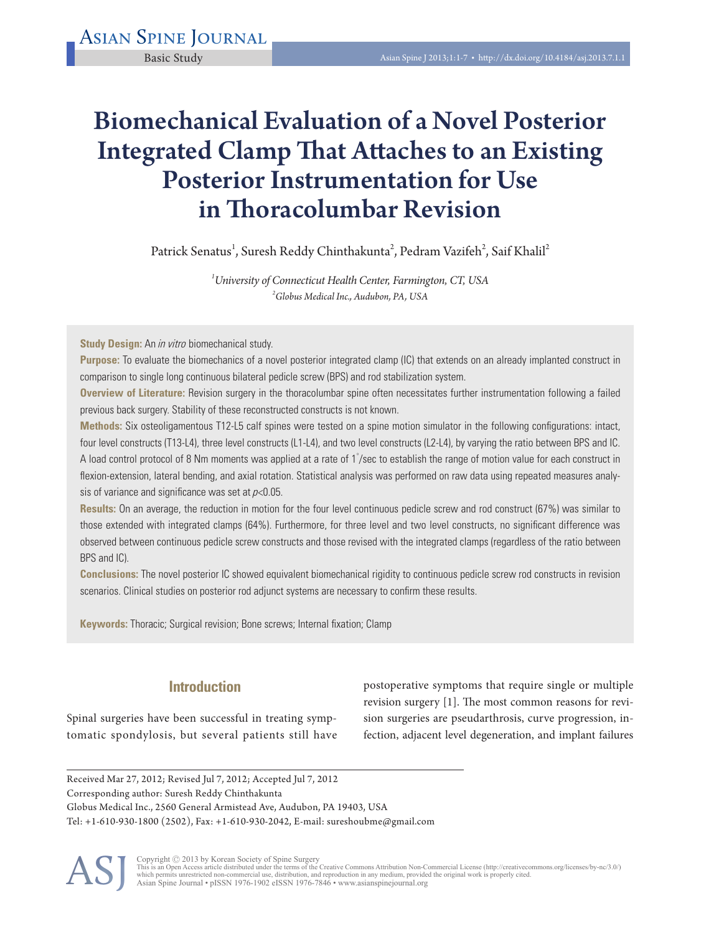# Biomechanical Evaluation of a Novel Posterior Integrated Clamp That Attaches to an Existing Posterior Instrumentation for Use in Thoracolumbar Revision

Patrick Senatus<sup>1</sup>, Suresh Reddy Chinthakunta<sup>2</sup>, Pedram Vazifeh<sup>2</sup>, Saif Khalil<sup>2</sup>

*1 University of Connecticut Health Center, Farmington, CT, USA 2 Globus Medical Inc., Audubon, PA, USA*

**Study Design:** An in vitro biomechanical study.

**Purpose:** To evaluate the biomechanics of a novel posterior integrated clamp (IC) that extends on an already implanted construct in comparison to single long continuous bilateral pedicle screw (BPS) and rod stabilization system.

**Overview of Literature:** Revision surgery in the thoracolumbar spine often necessitates further instrumentation following a failed previous back surgery. Stability of these reconstructed constructs is not known.

**Methods:** Six osteoligamentous T12-L5 calf spines were tested on a spine motion simulator in the following configurations: intact, four level constructs (T13-L4), three level constructs (L1-L4), and two level constructs (L2-L4), by varying the ratio between BPS and IC. A load control protocol of 8 Nm moments was applied at a rate of 1 $\degree$ /sec to establish the range of motion value for each construct in flexion-extension, lateral bending, and axial rotation. Statistical analysis was performed on raw data using repeated measures analysis of variance and significance was set at  $p<0.05$ .

**Results:** On an average, the reduction in motion for the four level continuous pedicle screw and rod construct (67%) was similar to those extended with integrated clamps (64%). Furthermore, for three level and two level constructs, no significant difference was observed between continuous pedicle screw constructs and those revised with the integrated clamps (regardless of the ratio between BPS and IC).

**Conclusions:** The novel posterior IC showed equivalent biomechanical rigidity to continuous pedicle screw rod constructs in revision scenarios. Clinical studies on posterior rod adjunct systems are necessary to confirm these results.

**Keywords:** Thoracic; Surgical revision; Bone screws; Internal fixation; Clamp

# **Introduction**

Spinal surgeries have been successful in treating symptomatic spondylosis, but several patients still have postoperative symptoms that require single or multiple revision surgery [1]. The most common reasons for revision surgeries are pseudarthrosis, curve progression, infection, adjacent level degeneration, and implant failures

Received Mar 27, 2012; Revised Jul 7, 2012; Accepted Jul 7, 2012 Corresponding author: Suresh Reddy Chinthakunta Globus Medical Inc., 2560 General Armistead Ave, Audubon, PA 19403, USA Tel: +1-610-930-1800 (2502), Fax: +1-610-930-2042, E-mail: sureshoubme@gmail.com



Copyright © 2013 by Korean Society of Spine Surgery<br>This is an Open Access article distributed under the terms of the Creative Commons Attribution Non-Commercial License (http://creativecommons.org/licenses/by-nc/3.0/)<br>whi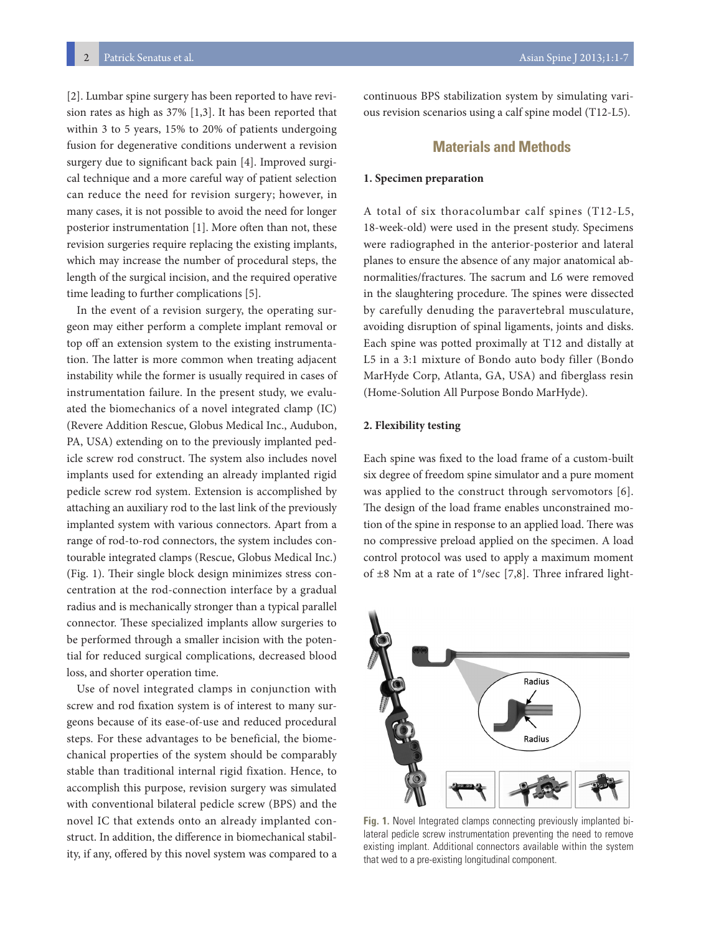[2]. Lumbar spine surgery has been reported to have revision rates as high as 37% [1,3]. It has been reported that within 3 to 5 years, 15% to 20% of patients undergoing fusion for degenerative conditions underwent a revision surgery due to significant back pain [4]. Improved surgical technique and a more careful way of patient selection can reduce the need for revision surgery; however, in many cases, it is not possible to avoid the need for longer posterior instrumentation [1]. More often than not, these revision surgeries require replacing the existing implants, which may increase the number of procedural steps, the length of the surgical incision, and the required operative time leading to further complications [5].

In the event of a revision surgery, the operating surgeon may either perform a complete implant removal or top off an extension system to the existing instrumentation. The latter is more common when treating adjacent instability while the former is usually required in cases of instrumentation failure. In the present study, we evaluated the biomechanics of a novel integrated clamp (IC) (Revere Addition Rescue, Globus Medical Inc., Audubon, PA, USA) extending on to the previously implanted pedicle screw rod construct. The system also includes novel implants used for extending an already implanted rigid pedicle screw rod system. Extension is accomplished by attaching an auxiliary rod to the last link of the previously implanted system with various connectors. Apart from a range of rod-to-rod connectors, the system includes contourable integrated clamps (Rescue, Globus Medical Inc.) (Fig. 1). Their single block design minimizes stress concentration at the rod-connection interface by a gradual radius and is mechanically stronger than a typical parallel connector. These specialized implants allow surgeries to be performed through a smaller incision with the potential for reduced surgical complications, decreased blood loss, and shorter operation time.

Use of novel integrated clamps in conjunction with screw and rod fixation system is of interest to many surgeons because of its ease-of-use and reduced procedural steps. For these advantages to be beneficial, the biomechanical properties of the system should be comparably stable than traditional internal rigid fixation. Hence, to accomplish this purpose, revision surgery was simulated with conventional bilateral pedicle screw (BPS) and the novel IC that extends onto an already implanted construct. In addition, the difference in biomechanical stability, if any, offered by this novel system was compared to a continuous BPS stabilization system by simulating various revision scenarios using a calf spine model (T12-L5).

## **Materials and Methods**

#### **1. Specimen preparation**

A total of six thoracolumbar calf spines (T12-L5, 18-week-old) were used in the present study. Specimens were radiographed in the anterior-posterior and lateral planes to ensure the absence of any major anatomical abnormalities/fractures. The sacrum and L6 were removed in the slaughtering procedure. The spines were dissected by carefully denuding the paravertebral musculature, avoiding disruption of spinal ligaments, joints and disks. Each spine was potted proximally at T12 and distally at L5 in a 3:1 mixture of Bondo auto body filler (Bondo MarHyde Corp, Atlanta, GA, USA) and fiberglass resin (Home-Solution All Purpose Bondo MarHyde).

#### **2. Flexibility testing**

Each spine was fixed to the load frame of a custom-built six degree of freedom spine simulator and a pure moment was applied to the construct through servomotors [6]. The design of the load frame enables unconstrained motion of the spine in response to an applied load. There was no compressive preload applied on the specimen. A load control protocol was used to apply a maximum moment of  $\pm 8$  Nm at a rate of 1°/sec [7,8]. Three infrared light-



**Fig. 1.** Novel Integrated clamps connecting previously implanted bilateral pedicle screw instrumentation preventing the need to remove existing implant. Additional connectors available within the system that wed to a pre-existing longitudinal component.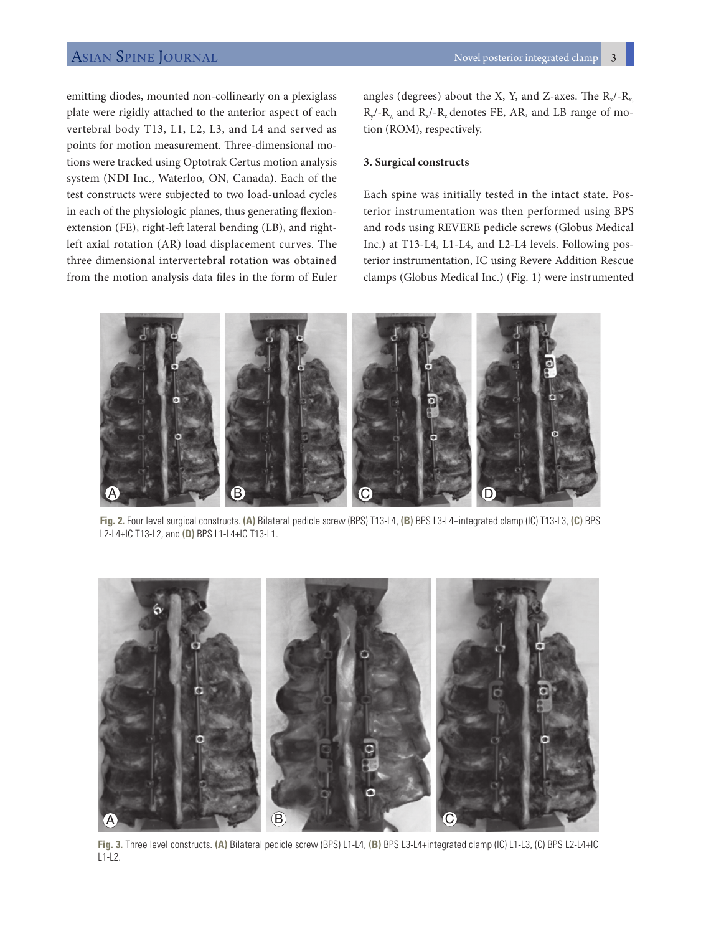# ASIAN SPINE JOURNAL ASIAN SPINE 3

emitting diodes, mounted non-collinearly on a plexiglass plate were rigidly attached to the anterior aspect of each vertebral body T13, L1, L2, L3, and L4 and served as points for motion measurement. Three-dimensional motions were tracked using Optotrak Certus motion analysis system (NDI Inc., Waterloo, ON, Canada). Each of the test constructs were subjected to two load-unload cycles in each of the physiologic planes, thus generating flexionextension (FE), right-left lateral bending (LB), and rightleft axial rotation (AR) load displacement curves. The three dimensional intervertebral rotation was obtained from the motion analysis data files in the form of Euler angles (degrees) about the X, Y, and Z-axes. The  $R_{x}/-R_{x}$  $R_{y}$ /- $R_{y}$  and  $R_{z}$ /- $R_{z}$  denotes FE, AR, and LB range of motion (ROM), respectively.

#### **3. Surgical constructs**

Each spine was initially tested in the intact state. Posterior instrumentation was then performed using BPS and rods using REVERE pedicle screws (Globus Medical Inc.) at T13-L4, L1-L4, and L2-L4 levels. Following posterior instrumentation, IC using Revere Addition Rescue clamps (Globus Medical Inc.) (Fig. 1) were instrumented



**Fig. 2.** Four level surgical constructs. **(A)** Bilateral pedicle screw (BPS) T13-L4, **(B)** BPS L3-L4+integrated clamp (IC) T13-L3, **(C)** BPS L2-L4+IC T13-L2, and **(D)** BPS L1-L4+IC T13-L1.



**Fig. 3.** Three level constructs. **(A)** Bilateral pedicle screw (BPS) L1-L4, **(B)** BPS L3-L4+integrated clamp (IC) L1-L3, (C) BPS L2-L4+IC  $L1-L2$ .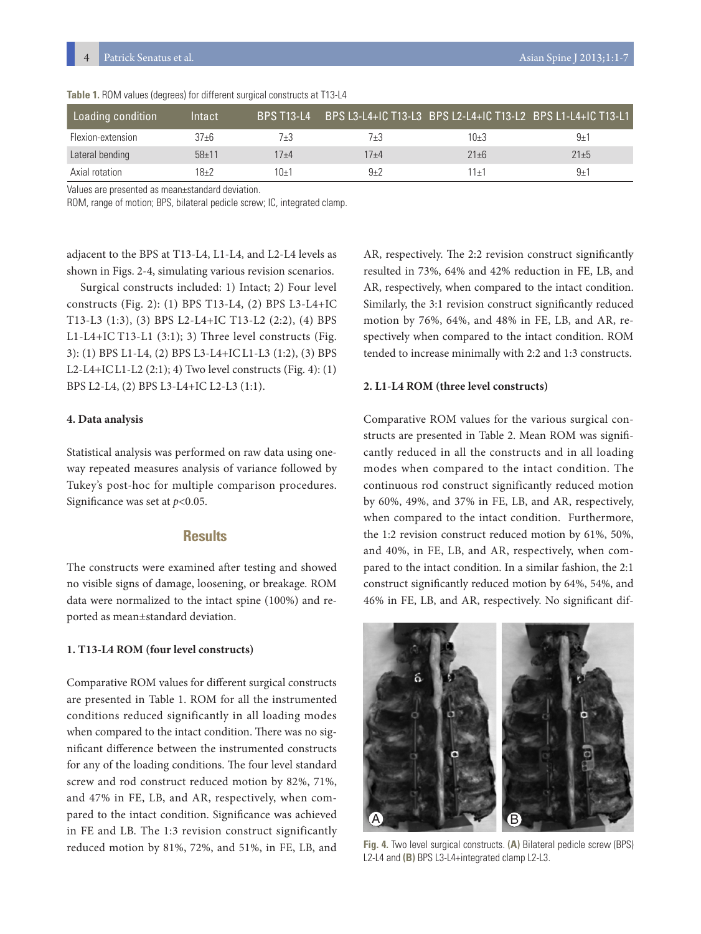| Loading condition | Intact    | <b>BPS T13-L4</b> |          |                     | BPS L3-L4+IC T13-L3 BPS L2-L4+IC T13-L2 BPS L1-L4+IC T13-L1 |
|-------------------|-----------|-------------------|----------|---------------------|-------------------------------------------------------------|
| Flexion-extension | $37 + 6$  | 7+3               | 7+3      | $10+3$              | $9 + 1$                                                     |
| Lateral bending   | $58 + 11$ | $17 + 4$          | $17 + 4$ | $21 + 6$            | $21 + 5$                                                    |
| Axial rotation    | $18+2$    | 10+′              | $9 + 7$  | $11 +$ <sup>1</sup> | $9 + 7$                                                     |

**Table 1.** ROM values (degrees) for different surgical constructs at T13-L4

Values are presented as mean±standard deviation.

ROM, range of motion; BPS, bilateral pedicle screw; IC, integrated clamp.

adjacent to the BPS at T13-L4, L1-L4, and L2-L4 levels as shown in Figs. 2-4, simulating various revision scenarios.

 Surgical constructs included: 1) Intact; 2) Four level constructs (Fig. 2): (1) BPS T13-L4, (2) BPS L3-L4+IC T13-L3 (1:3), (3) BPS L2-L4+IC T13-L2 (2:2), (4) BPS L1-L4+IC T13-L1 (3:1); 3) Three level constructs (Fig. 3): (1) BPS L1-L4, (2) BPS L3-L4+ICL1-L3 (1:2), (3) BPS L2-L4+ICL1-L2 (2:1); 4) Two level constructs (Fig. 4): (1) BPS L2-L4, (2) BPS L3-L4+IC L2-L3 (1:1).

#### **4. Data analysis**

Statistical analysis was performed on raw data using oneway repeated measures analysis of variance followed by Tukey's post-hoc for multiple comparison procedures. Significance was set at *p*<0.05.

## **Results**

The constructs were examined after testing and showed no visible signs of damage, loosening, or breakage. ROM data were normalized to the intact spine (100%) and reported as mean±standard deviation.

#### **1. T13-L4 ROM (four level constructs)**

Comparative ROM values for different surgical constructs are presented in Table 1. ROM for all the instrumented conditions reduced significantly in all loading modes when compared to the intact condition. There was no significant difference between the instrumented constructs for any of the loading conditions. The four level standard screw and rod construct reduced motion by 82%, 71%, and 47% in FE, LB, and AR, respectively, when compared to the intact condition. Significance was achieved in FE and LB. The 1:3 revision construct significantly reduced motion by 81%, 72%, and 51%, in FE, LB, and

AR, respectively. The 2:2 revision construct significantly resulted in 73%, 64% and 42% reduction in FE, LB, and AR, respectively, when compared to the intact condition. Similarly, the 3:1 revision construct significantly reduced motion by 76%, 64%, and 48% in FE, LB, and AR, respectively when compared to the intact condition. ROM tended to increase minimally with 2:2 and 1:3 constructs.

#### **2. L1-L4 ROM (three level constructs)**

Comparative ROM values for the various surgical constructs are presented in Table 2. Mean ROM was significantly reduced in all the constructs and in all loading modes when compared to the intact condition. The continuous rod construct significantly reduced motion by 60%, 49%, and 37% in FE, LB, and AR, respectively, when compared to the intact condition. Furthermore, the 1:2 revision construct reduced motion by 61%, 50%, and 40%, in FE, LB, and AR, respectively, when compared to the intact condition. In a similar fashion, the 2:1 construct significantly reduced motion by 64%, 54%, and 46% in FE, LB, and AR, respectively. No significant dif-



**Fig. 4.** Two level surgical constructs. **(A)** Bilateral pedicle screw (BPS) L2-L4 and **(B)** BPS L3-L4+integrated clamp L2-L3.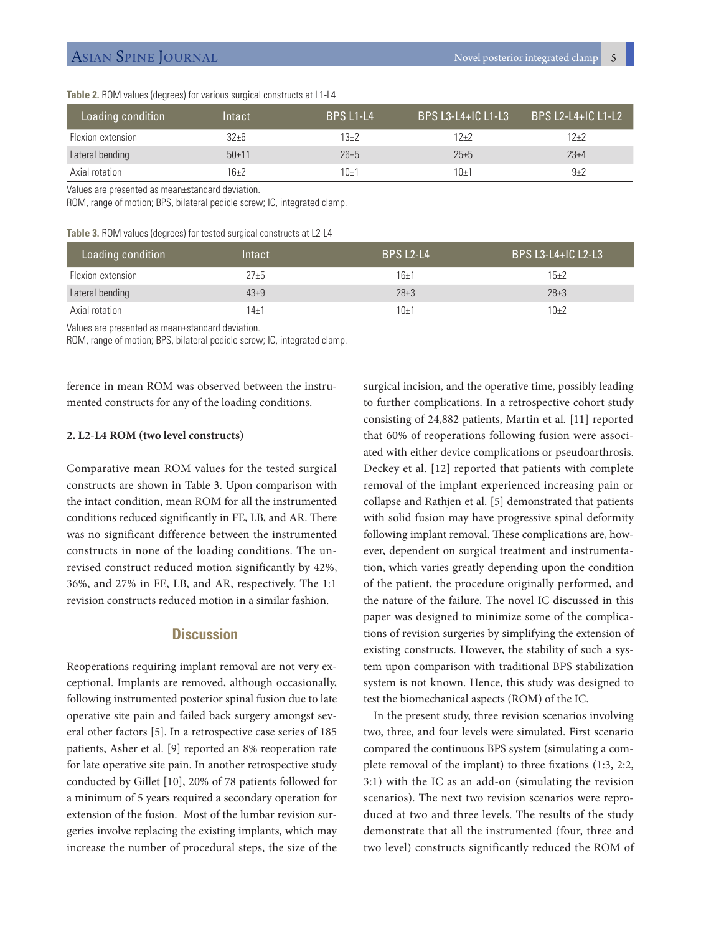**Table 2.** ROM values (degrees) for various surgical constructs at L1-L4

| Loading condition | Intact  | <b>BPS L1-L4</b> |          | ' BPS L2-L4+IC L1-L2 ا |
|-------------------|---------|------------------|----------|------------------------|
| Flexion-extension | 32+6    | 13+2             | 12+2     | 12+2                   |
| Lateral bending   | $50+11$ | $26 + 5$         | $25 + 5$ | $23+4$                 |
| Axial rotation    | 16+2    | 10±1             | 10±1     | $9+2$                  |

Values are presented as mean±standard deviation.

ROM, range of motion; BPS, bilateral pedicle screw; IC, integrated clamp.

#### **Table 3.** ROM values (degrees) for tested surgical constructs at L2-L4

| Loading condition | Intact   | <b>BPS L2-L4</b> | BPS L3-L4+IC L2-L3 |
|-------------------|----------|------------------|--------------------|
| Flexion-extension | $27 + 5$ | $16+1$           | $15+2$             |
| Lateral bending   | $43+9$   | $28 \pm 3$       | $28 \pm 3$         |
| Axial rotation    | $14 + 1$ | $10+1$           | $10+2$             |

Values are presented as mean±standard deviation.

ROM, range of motion; BPS, bilateral pedicle screw; IC, integrated clamp.

ference in mean ROM was observed between the instrumented constructs for any of the loading conditions.

#### **2. L2-L4 ROM (two level constructs)**

Comparative mean ROM values for the tested surgical constructs are shown in Table 3. Upon comparison with the intact condition, mean ROM for all the instrumented conditions reduced significantly in FE, LB, and AR. There was no significant difference between the instrumented constructs in none of the loading conditions. The unrevised construct reduced motion significantly by 42%, 36%, and 27% in FE, LB, and AR, respectively. The 1:1 revision constructs reduced motion in a similar fashion.

## **Discussion**

Reoperations requiring implant removal are not very exceptional. Implants are removed, although occasionally, following instrumented posterior spinal fusion due to late operative site pain and failed back surgery amongst several other factors [5]. In a retrospective case series of 185 patients, Asher et al. [9] reported an 8% reoperation rate for late operative site pain. In another retrospective study conducted by Gillet [10], 20% of 78 patients followed for a minimum of 5 years required a secondary operation for extension of the fusion. Most of the lumbar revision surgeries involve replacing the existing implants, which may increase the number of procedural steps, the size of the surgical incision, and the operative time, possibly leading to further complications. In a retrospective cohort study consisting of 24,882 patients, Martin et al. [11] reported that 60% of reoperations following fusion were associated with either device complications or pseudoarthrosis. Deckey et al. [12] reported that patients with complete removal of the implant experienced increasing pain or collapse and Rathjen et al. [5] demonstrated that patients with solid fusion may have progressive spinal deformity following implant removal. These complications are, however, dependent on surgical treatment and instrumentation, which varies greatly depending upon the condition of the patient, the procedure originally performed, and the nature of the failure. The novel IC discussed in this paper was designed to minimize some of the complications of revision surgeries by simplifying the extension of existing constructs. However, the stability of such a system upon comparison with traditional BPS stabilization system is not known. Hence, this study was designed to test the biomechanical aspects (ROM) of the IC.

In the present study, three revision scenarios involving two, three, and four levels were simulated. First scenario compared the continuous BPS system (simulating a complete removal of the implant) to three fixations (1:3, 2:2, 3:1) with the IC as an add-on (simulating the revision scenarios). The next two revision scenarios were reproduced at two and three levels. The results of the study demonstrate that all the instrumented (four, three and two level) constructs significantly reduced the ROM of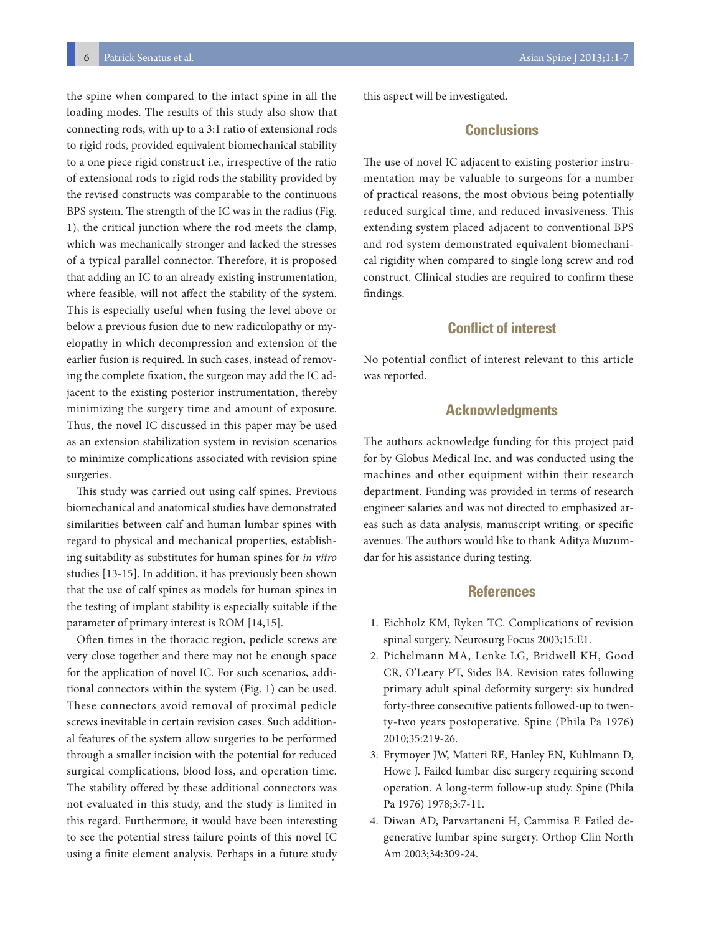6 Patrick Senatus et al. Asian Spine J 2013;1:1-7

the spine when compared to the intact spine in all the loading modes. The results of this study also show that connecting rods, with up to a 3:1 ratio of extensional rods to rigid rods, provided equivalent biomechanical stability to a one piece rigid construct i.e., irrespective of the ratio of extensional rods to rigid rods the stability provided by the revised constructs was comparable to the continuous BPS system. The strength of the IC was in the radius (Fig. 1), the critical junction where the rod meets the clamp, which was mechanically stronger and lacked the stresses of a typical parallel connector. Therefore, it is proposed that adding an IC to an already existing instrumentation, where feasible, will not affect the stability of the system. This is especially useful when fusing the level above or below a previous fusion due to new radiculopathy or myelopathy in which decompression and extension of the earlier fusion is required. In such cases, instead of removing the complete fixation, the surgeon may add the IC adjacent to the existing posterior instrumentation, thereby minimizing the surgery time and amount of exposure. Thus, the novel IC discussed in this paper may be used as an extension stabilization system in revision scenarios to minimize complications associated with revision spine surgeries.

This study was carried out using calf spines. Previous biomechanical and anatomical studies have demonstrated similarities between calf and human lumbar spines with regard to physical and mechanical properties, establishing suitability as substitutes for human spines for *in vitro* studies [13-15]. In addition, it has previously been shown that the use of calf spines as models for human spines in the testing of implant stability is especially suitable if the parameter of primary interest is ROM [14,15].

Often times in the thoracic region, pedicle screws are very close together and there may not be enough space for the application of novel IC. For such scenarios, additional connectors within the system (Fig. 1) can be used. These connectors avoid removal of proximal pedicle screws inevitable in certain revision cases. Such additional features of the system allow surgeries to be performed through a smaller incision with the potential for reduced surgical complications, blood loss, and operation time. The stability offered by these additional connectors was not evaluated in this study, and the study is limited in this regard. Furthermore, it would have been interesting to see the potential stress failure points of this novel IC using a finite element analysis. Perhaps in a future study

this aspect will be investigated.

# **Conclusions**

The use of novel IC adjacent to existing posterior instrumentation may be valuable to surgeons for a number of practical reasons, the most obvious being potentially reduced surgical time, and reduced invasiveness. This extending system placed adjacent to conventional BPS and rod system demonstrated equivalent biomechanical rigidity when compared to single long screw and rod construct. Clinical studies are required to confirm these findings.

## **Conflict of interest**

No potential conflict of interest relevant to this article was reported.

## **Acknowledgments**

The authors acknowledge funding for this project paid for by Globus Medical Inc. and was conducted using the machines and other equipment within their research department. Funding was provided in terms of research engineer salaries and was not directed to emphasized areas such as data analysis, manuscript writing, or specific avenues. The authors would like to thank Aditya Muzumdar for his assistance during testing.

### **References**

- 1. Eichholz KM, Ryken TC. Complications of revision spinal surgery. Neurosurg Focus 2003;15:E1.
- 2. Pichelmann MA, Lenke LG, Bridwell KH, Good CR, O'Leary PT, Sides BA. Revision rates following primary adult spinal deformity surgery: six hundred forty-three consecutive patients followed-up to twenty-two years postoperative. Spine (Phila Pa 1976) 2010;35:219-26.
- 3. Frymoyer JW, Matteri RE, Hanley EN, Kuhlmann D, Howe J. Failed lumbar disc surgery requiring second operation. A long-term follow-up study. Spine (Phila Pa 1976) 1978;3:7-11.
- 4. Diwan AD, Parvartaneni H, Cammisa F. Failed degenerative lumbar spine surgery. Orthop Clin North Am 2003;34:309-24.